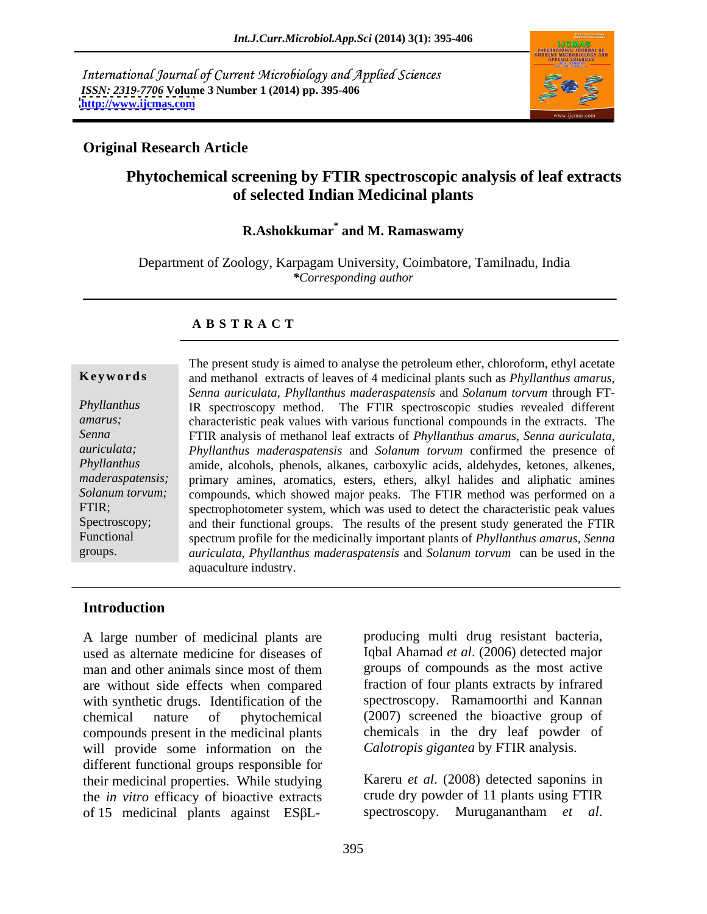International Journal of Current Microbiology and Applied Sciences *ISSN: 2319-7706* **Volume 3 Number 1 (2014) pp. 395-406 <http://www.ijcmas.com>**



## **Original Research Article**

## **Phytochemical screening by FTIR spectroscopic analysis of leaf extracts of selected Indian Medicinal plants**

## **R.Ashokkumar\* and M. Ramaswamy**

Department of Zoology, Karpagam University, Coimbatore, Tamilnadu, India *\*Corresponding author* 

## **A B S T R A C T**

**Ke ywo rds** and methanol extracts of leaves of 4 medicinal plants such as *Phyllanthus amarus, Phyllanthus*  IR spectroscopy method. The FTIR spectroscopic studies revealed different *amarus;*  characteristic peak values with various functional compounds in the extracts. The *Senna*  FTIR analysis of methanol leaf extracts of *Phyllanthus amarus, Senna auriculata, auriculata; Phyllanthus maderaspatensis* and *Solanum torvum* confirmed the presence of *Phyllanthus*  amide, alcohols, phenols, alkanes, carboxylic acids, aldehydes, ketones, alkenes, *maderaspatensis;* primary amines, aromatics, esters, ethers, alkyl halides and aliphatic amines *Solanum torvum;*  compounds, which showed major peaks. The FTIR method was performed on a FTIR; spectrophotometer system, which was used to detect the characteristic peak values Spectroscopy; and their functional groups. The results of the present study generated the FTIR Functional spectrum profile for the medicinally important plants of *Phyllanthus amarus, Senna*  groups. *auriculata, Phyllanthus maderaspatensis* and *Solanum torvum* can be used in the The present study is aimed to analyse the petroleum ether, chloroform, ethyl acetate *Senna auriculata, Phyllanthus maderaspatensis* and *Solanum torvum* through FTaquaculture industry.

## **Introduction**

A large number of medicinal plants are producing multi drug resistant bacteria, used as alternate medicine for diseases of Iqbal Ahamad et al. (2006) detected major man and other animals since most of them groups of compounds as the most active are without side effects when compared with synthetic drugs. Identification of the chemical nature of phytochemical (2007) screened the bioactive group of compounds present in the medicinal plants will provide some information on the different functional groups responsible for their medicinal properties. While studying the *in vitro* efficacy of bioactive extracts A large number of medicinal plants are producing multi drug resistant bacteria, used as alternate medicine for diseases of Iqbal Ahamad *et al.* (2006) detected major man and other animals since most of them groups of com

groups of compounds as the most active fraction of four plants extracts by infrared spectroscopy. Ramamoorthi and Kannan chemicals in the dry leaf powder of *Calotropis gigantea* by FTIR analysis.

Kareru *et al*. (2008) detected saponins in crude dry powder of 11 plants using FTIR spectroscopy. Muruganantham *et al*.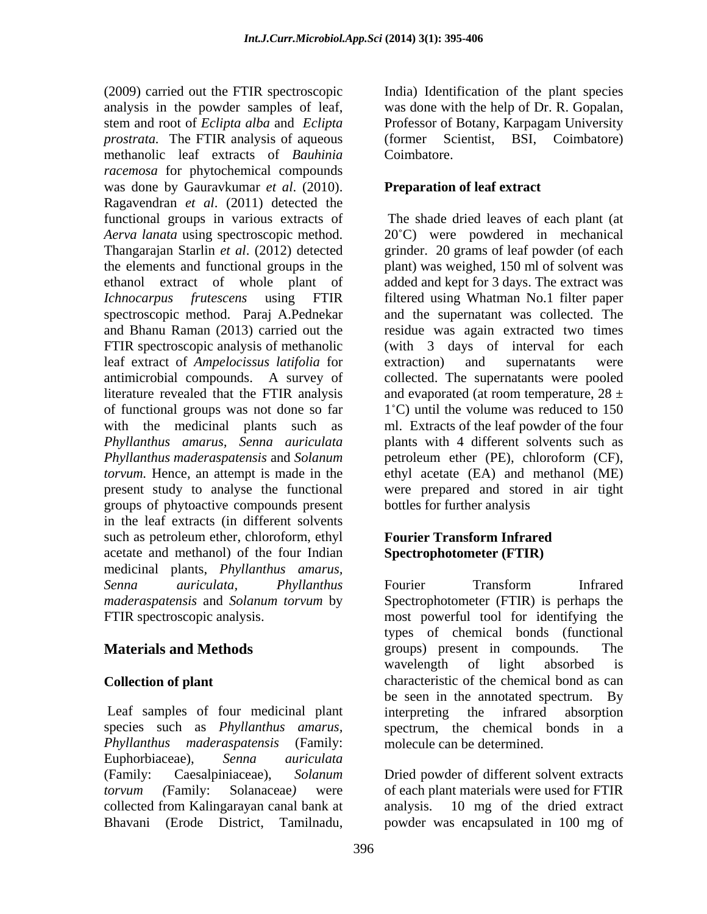(2009) carried out the FTIR spectroscopic India) Identification of the plant species analysis in the powder samples of leaf, was done with the help of Dr. R. Gopalan, stem and root of *Eclipta alba* and *Eclipta* Professor of Botany, Karpagam University *prostrata.* The FTIR analysis of aqueous (former Scientist, BSI, Coimbatore) methanolic leaf extracts of *Bauhinia racemosa* for phytochemical compounds was done by Gauravkumar *et al*. (2010). Ragavendran *et al*. (2011) detected the functional groups in various extracts of *Aerva lanata* using spectroscopic method. 20 C) were powdered in mechanical Thangarajan Starlin *et al*. (2012) detected grinder. 20 grams of leaf powder (of each the elements and functional groups in the plant) was weighed, 150 ml of solvent was ethanol extract of whole plant of added and kept for 3 days. The extract was *Ichnocarpus frutescens* using FTIR filtered using Whatman No.1 filter paper spectroscopic method. Paraj A.Pednekar and the supernatant was collected. The and Bhanu Raman (2013) carried out the residue was again extracted two times FTIR spectroscopic analysis of methanolic (with 3 days of interval for each leaf extract of *Ampelocissus latifolia* for antimicrobial compounds. A survey of collected. The supernatants were pooled literature revealed that the FTIR analysis and evaporated (at room temperature,  $28 \pm$ of functional groups was not done so far with the medicinal plants such as ml. Extracts of the leaf powder of the four *Phyllanthus amarus, Senna auriculata* plants with 4 different solvents such as *Phyllanthus maderaspatensis* and *Solanum*  petroleum ether (PE), chloroform (CF), *torvum*. Hence, an attempt is made in the ethyl acetate (EA) and methanol (ME) present study to analyse the functional were prepared and stored in air tight groups of phytoactive compounds present in the leaf extracts (in different solvents such as petroleum ether, chloroform, ethyl acetate and methanol) of the four Indian medicinal plants, *Phyllanthus amarus, Senna auriculata, Phyllanthus maderaspatensis* and *Solanum torvum* by Spectrophotometer (FTIR) is perhaps the

Leaf samples of four medicinal plant interpreting the infrared absorption *Phyllanthus maderaspatensis* (Family: Euphorbiaceae), *Senna auriculata* (Family: Caesalpiniaceae), *Solanum*  Dried powder of different solvent extracts *torvum (*Family: Solanaceae*)* were of each plant materials were used for FTIR collected from Kalingarayan canal bank at

Coimbatore.

## **Preparation of leaf extract**

The shade dried leaves of each plant (at extraction) and supernatants were  $1^{\circ}$ C) until the volume was reduced to 150 bottles for further analysis

## **Fourier Transform Infrared Spectrophotometer (FTIR)**

FTIR spectroscopic analysis. most powerful tool for identifying the **Materials and Methods** groups) present in compounds. The **Collection of plant** characteristic of the chemical bond as can species such as *Phyllanthus amarus,* spectrum, the chemical bonds in a Fourier Transform Infrared types of chemical bonds (functional wavelength of light absorbed is be seen in the annotated spectrum. By interpreting the infrared absorption molecule can be determined.

Bhavani (Erode District, Tamilnadu, powder was encapsulated in 100 mg of10 mg of the dried extract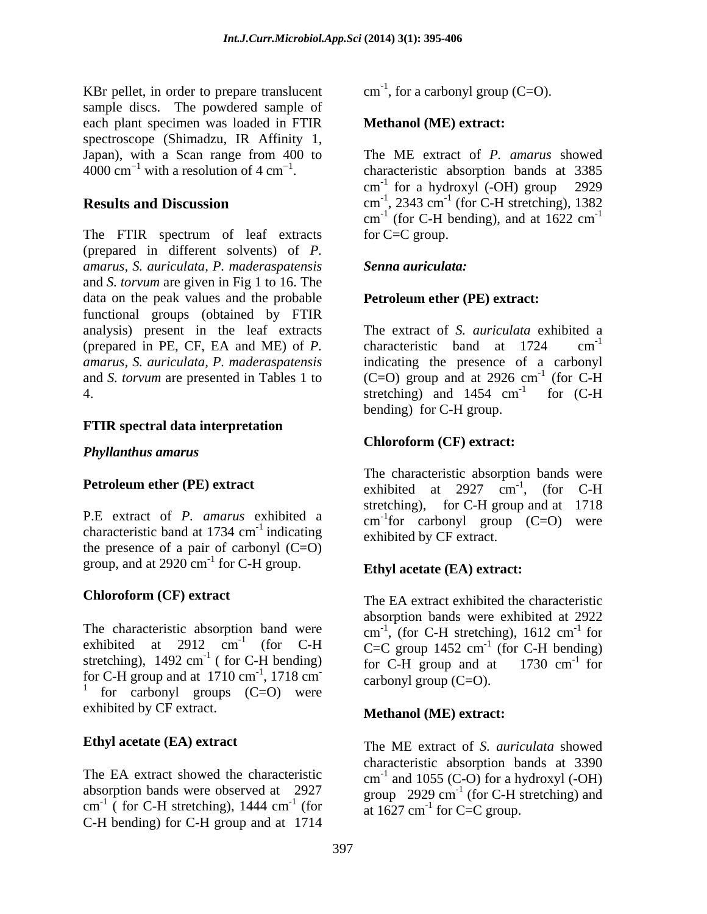KBr pellet, in order to prepare translucent sample discs. The powdered sample of each plant specimen was loaded in FTIR spectroscope (Shimadzu, IR Affinity 1,

The FTIR spectrum of leaf extracts (prepared in different solvents) of *P. amarus, S. auriculata, P. maderaspatensis* and *S. torvum* are given in Fig 1 to 16. The data on the peak values and the probable functional groups (obtained by FTIR analysis) present in the leaf extracts The extract of *S. auriculata* exhibited a (prepared in PE, CF, EA and ME) of *P. amarus, S. auriculata, P. maderaspatensis* indicating the presence of a carbonyl and *S. torvum* are presented in Tables 1 to  $(C=O)$  group and at 2926 cm<sup>-1</sup> (for C-H 4. Stretching) and 1454 cm<sup>-1</sup> for (C-H

## **FTIR spectral data interpretation**

## *Phyllanthus amarus*

P.E extract of *P. amarus* exhibited a characteristic band at  $1734 \text{ cm}^{-1}$  indicating the presence of a pair of carbonyl  $(C=O)$ group, and at  $2920 \text{ cm}^{-1}$  for C-H group.

The characteristic absorption band were<br>exhibited at  $2912 \text{ cm}^{-1}$  (for C-H) exhibited at 2912 cm<sup>-1</sup> (for C-H  $C=C$  group 1452 cm<sup>-1</sup> (for C-H bending) stretching),  $1492 \text{ cm}^{-1}$  (for C-H bending) for C-H group and at  $1730 \text{ cm}^{-1}$  for for C-H group and at  $1710 \text{ cm}^{-1}$ ,  $1718 \text{ cm}^{-1}$ for C-H group and at  $1710 \text{ cm}^{-1}$ ,  $1718 \text{ cm}^{-1}$  carbonyl group (C=O).<br>
<sup>1</sup> for carbonyl groups (C=O) were exhibited by CF extract.

The EA extract showed the characteristic  $cm^{-1}$  and 1055 (C-O) for a hydroxyl (-OH) absorption bands were observed at  $2927$  group 2929 cm<sup>-1</sup> (for C-H stretching) and cm<sup>-1</sup> (for C-H stretching), 1444 cm<sup>-1</sup> (for at 1627 cm<sup>-1</sup> for C=C group C-H bending) for C-H group and at 1714

 $\text{cm}^{-1}$ , for a carbonyl group (C=O).  $^{-1}$ , for a carbonyl group (C=O).

## **Methanol (ME) extract:**

Japan), with a Scan range from 400 to The ME extract of P. amarus showed  $4000 \text{ cm}^{-1}$  with a resolution of 4 cm<sup>-1</sup>. characteristic absorption bands at 3385 with a resolution of  $4 \text{ cm}^{-1}$ . characteristic absorption bands at 3385 **Results and Discussion**  $cm^{-1}$ , 2343  $cm^{-1}$  (for C-H stretching), 1382 The ME extract of *P. amarus* showed cm -1 for a hydroxyl (-OH) group 2929 (for C-H stretching), 1382  $\text{cm}^{-1}$  (for C-H bending), and at 1622  $\text{cm}^{-1}$ (for C-H bending), and at  $1622 \text{ cm}^{-1}$ -1 for C=C group.

## *Senna auriculata:*

## **Petroleum ether (PE) extract:**

characteristic band at  $1724$  cm<sup>-1</sup> -1  $-1$  (for  $\overline{C}$  H (for C-H  $^{-1}$  for  $(C \cup$ for (C-H bending) for C-H group.

## **Chloroform (CF) extract:**

**Petroleum ether (PE) extract** exhibited at 2927 cm<sup>-1</sup>, (for C-H) exhibited a  $cm^{-1}$  for carbonyl group (C=O) were indicating exhibited by CF extract. The characteristic absorption bands were exhibited at  $2927 \text{ cm}^{-1}$ , (for C-H  $-1$  (for  $\bigcap$  **U** , (for C-H stretching), for C-H group and at 1718

# for C-H group. **Ethyl acetate (EA) extract:**

**Chloroform (CF) extract** The EA extract exhibited the characteristic ( for C-H bending) for C-H group and at  $1730 \text{ cm}^{-1}$  for absorption bands were exhibited at 2922 cm<sup>-1</sup>, (for C-H stretching), 1612 cm<sup>-1</sup> for , (for C-H stretching),  $1612 \text{ cm}^{-1}$  for  $^{-1}$  for (for C-H bending)  $\frac{1}{\pi}$  for carbonyl group  $(C=O)$ .

## **Methanol (ME) extract:**

**Ethyl acetate (EA) extract** The ME extract of *S. auriculata* showed ( for C-H stretching), 1444 cm<sup>-1</sup> (for  $\sigma$  at 1627 cm<sup>-1</sup> for C=C group  $\frac{1}{2}$   $\frac{1}{2}$   $\frac{1}{2}$   $\frac{1}{2}$   $\frac{1}{2}$   $\frac{1}{2}$   $\frac{1}{2}$   $\frac{1}{2}$   $\frac{1}{2}$   $\frac{1}{2}$   $\frac{1}{2}$   $\frac{1}{2}$   $\frac{1}{2}$   $\frac{1}{2}$   $\frac{1}{2}$   $\frac{1}{2}$   $\frac{1}{2}$   $\frac{1}{2}$   $\frac{1}{2}$   $\frac{1}{2}$   $\frac{1}{2}$   $\frac{1}{2}$   $(\text{for} \quad \text{at } 1627 \text{ cm}^{-1} \text{ for } C = C \text{ group.}$ characteristic absorption bands at 3390 (for C-H stretching) and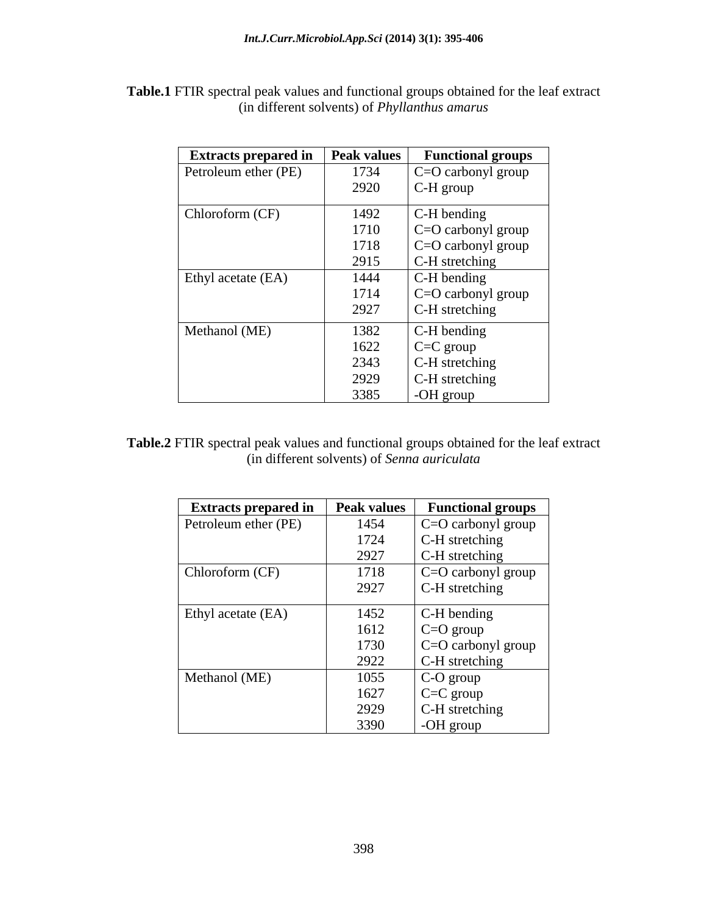| <b>Extracts prepared in</b> | Peak values | <b>Functional groups</b> |
|-----------------------------|-------------|--------------------------|
| Petroleum ether (PE)        | 1734        | $C=O$ carbonyl group     |
|                             | 2920        | C-H group                |
| Chloroform (CF)             | 1492        | C-H bending              |
|                             | 1710        | C=O carbonyl group       |
|                             | 1718        | C=O carbonyl group       |
|                             | 2915        | C-H stretching           |
| Ethyl acetate (EA)          | 1444        | C-H bending              |
|                             | 1714        | C=O carbonyl group       |
|                             | 2927        | C-H stretching           |
| Methanol (ME)               | 1382        | C-H bending              |
|                             | 1622        | $C = C$ group            |
|                             | 2343        | C-H stretching           |
|                             | 2929        | C-H stretching           |
|                             | 3385        | -OH group                |

**Table.1** FTIR spectral peak values and functional groups obtained for the leaf extract (in different solvents) of *Phyllanthus amarus*

**Table.2** FTIR spectral peak values and functional groups obtained for the leaf extract (in different solvents) of *Senna auriculata*

| <b>Extracts prepared in</b> | <b>Peak values</b> | <b>Functional groups</b>  |
|-----------------------------|--------------------|---------------------------|
| Petroleum ether (PE)        | 1454               | $\mid$ C=O carbonyl group |
|                             | 1724               | C-H stretching            |
|                             | 2927               | C-H stretching            |
| Chloroform (CF)             | 1718               | $\mid$ C=O carbonyl group |
|                             | 2927               | C-H stretching            |
| Ethyl acetate (EA)          | 1452               | $C-H$ bending             |
|                             | 1612               | $C = O$ group             |
|                             | 1730               | $\mid$ C=O carbonyl group |
|                             | 2922               | C-H stretching            |
| Methanol (ME)               | 1055               | C-O group                 |
|                             | 1627               | $C=C$ group               |
|                             | 2929               | C-H stretching            |
|                             | 3390               | -OH group                 |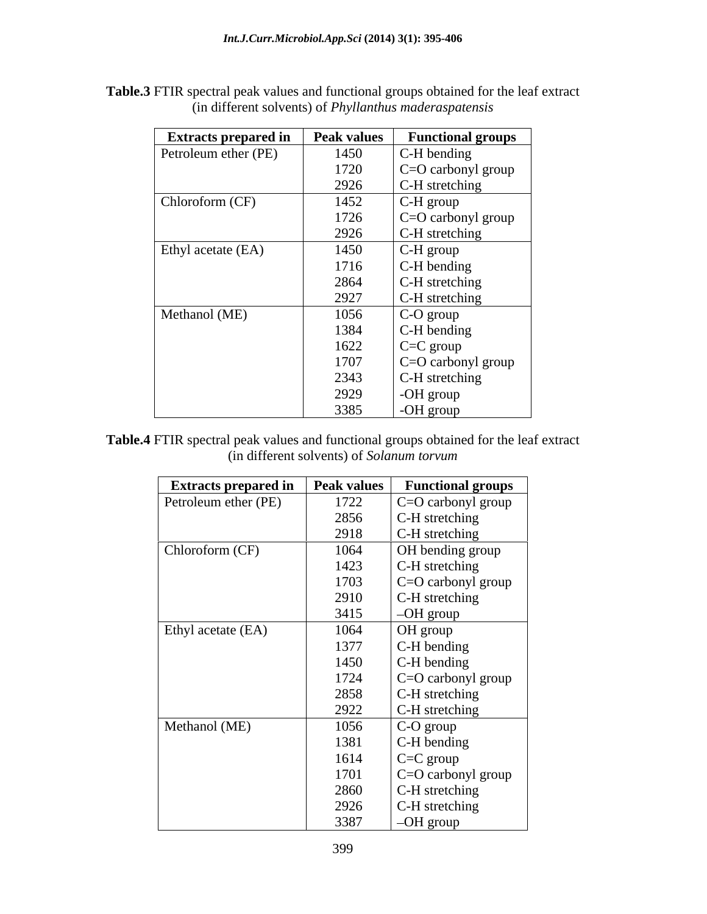| <b>Extracts prepared in</b> | <b>Peak values</b> | <b>Functional groups</b>               |
|-----------------------------|--------------------|----------------------------------------|
| Petroleum ether (PE)        | 1450               | C-H bending                            |
|                             | 1720               | C=O carbonyl group                     |
|                             | 2926               | C-H stretching                         |
| Chloroform (CF)             | 1452               | C-H group                              |
|                             | 1726               | $C = O$ carbonyl group                 |
|                             | 2926               | C-H stretching                         |
| Ethyl acetate (EA)          | 1450               | $\mid$ C-H group                       |
|                             | 1716               | $\mathsf{C}\text{-}\mathsf{H}$ bending |
|                             | 2864               | C-H stretching                         |
|                             | 2927               | C-H stretching                         |
| Methanol (ME)               | 1056               | $\mid$ C-O group                       |
|                             | 1384               | $C-H$ bending                          |
|                             | 1622               | $\mid$ C=C group                       |
|                             | 1707               | $\vert$ C=O carbonyl group             |
|                             | 2343               | C-H stretching                         |
|                             | 2929               | -OH group                              |
|                             | 3385               | -OH group                              |

**Table.3** FTIR spectral peak values and functional groups obtained for the leaf extract (in different solvents) of *Phyllanthus maderaspatensis*

**Table.4** FTIR spectral peak values and functional groups obtained for the leaf extract (in different solvents) of *Solanum torvum*

| <b>Extracts prepared in</b> | <b>Peak values</b> | <b>Functional groups</b>                |
|-----------------------------|--------------------|-----------------------------------------|
| Petroleum ether (PE)        | 1722               | C=O carbonyl group                      |
|                             | 2856               | C-H stretching                          |
|                             | 2918               | C-H stretching                          |
| Chloroform (CF)             | 1064               | <b>OH</b> bending group                 |
|                             | 1423               | C-H stretching                          |
|                             | 1703               | C=O carbonyl group                      |
|                             | 2910               | C-H stretching                          |
|                             | 3415               | $-OH$ group                             |
| Ethyl acetate (EA)          | 1064               | OH group                                |
|                             | 1377               | $\mathsf{IC}\text{-}\mathsf{H}$ bending |
|                             | 1450               | C-H bending                             |
|                             | 1724               | C=O carbonyl group                      |
|                             | 2858               | C-H stretching                          |
|                             | 2922               | C-H stretching                          |
| Methanol (ME)               | 1056               | C-O group                               |
|                             | 1381               | $C-H$ bending                           |
|                             | 1614               | $\mathsf{C}=\mathsf{C}$ group           |
|                             | 1701               | C=O carbonyl group                      |
|                             | 2860               | C-H stretching                          |
|                             | 2926               | C-H stretching                          |
|                             | 3387               | $-OH$ group                             |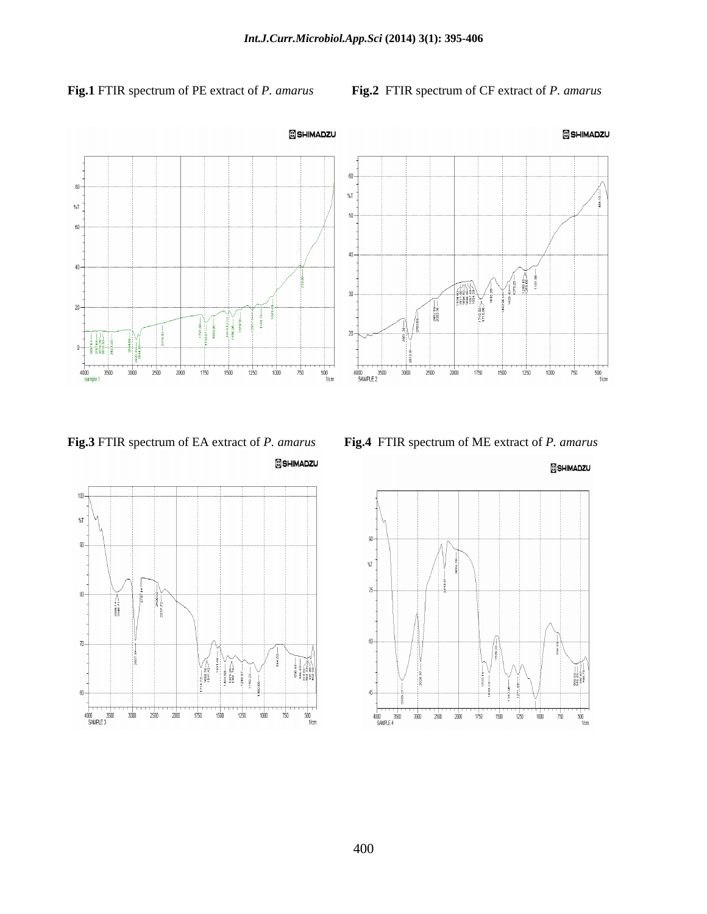**Fig.1** FTIR spectrum of PE extract of *P. amarus* **Fig.2**FTIR spectrum of CF extract of *P. amarus*









SHIMADZU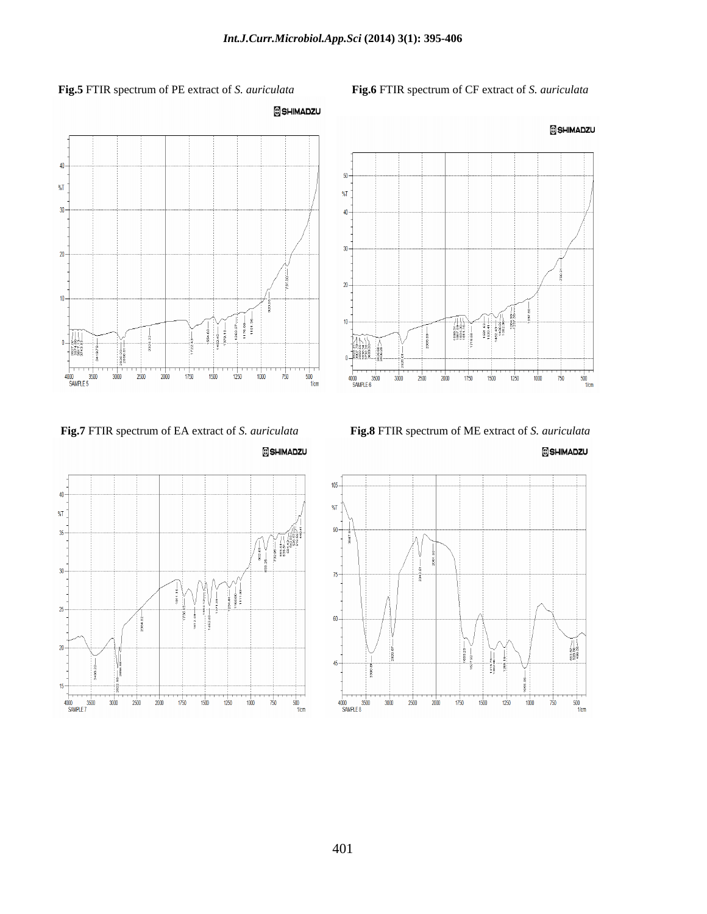$50$ 

 $%$ 

 $40 -$ 

 $30<sub>1</sub>$ 

 $20<sup>1</sup>$ 

 $10<sup>1</sup>$ 

 $25.58 -$ 





SHIMADZU







 $\begin{tabular}{|c|c|} \hline \quad \quad & \quad \quad & \quad \quad \\ \hline \quad \quad & \quad \quad & \quad \quad \\ \hline \quad \quad & \quad \quad & \quad \quad \\ \hline \quad \quad & \quad \quad & \quad \quad \\ \hline \quad \quad & \quad \quad & \quad \quad \\ \hline \quad \quad & \quad \quad & \quad \quad \\ \hline \quad \quad & \quad \quad & \quad \quad \\ \hline \quad \quad & \quad \quad & \quad \quad \\ \hline \quad \quad & \quad \quad & \quad \quad \\ \hline \quad \quad & \quad \quad & \quad \quad \\ \hline \quad \quad & \quad \quad & \quad \quad \\ \hline \quad \quad & \quad$ 

SHIMADZU



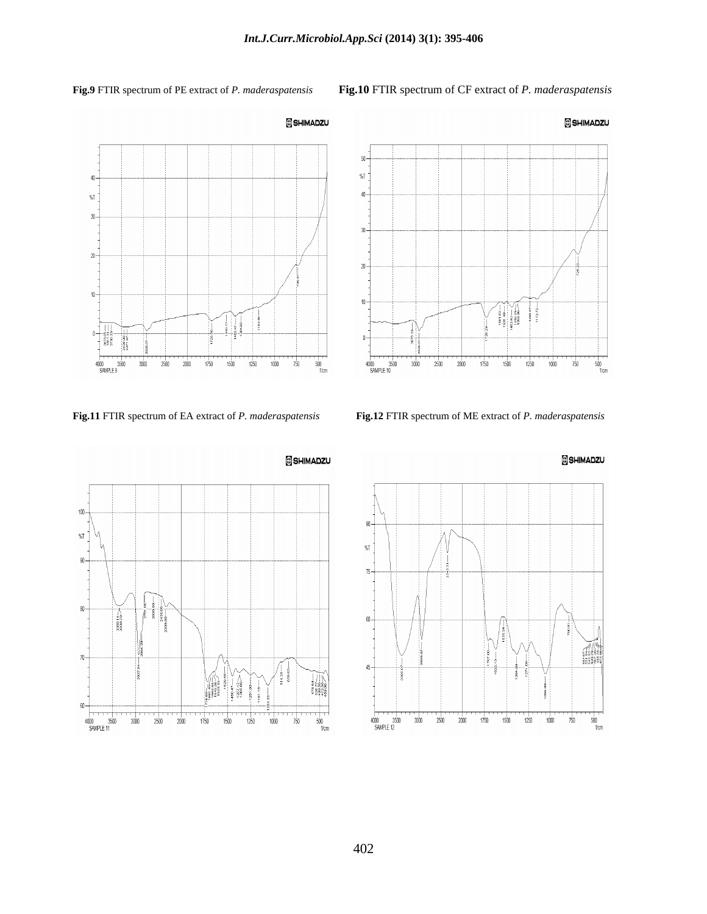**Fig.9** FTIR spectrum of PE extract of *P. maderaspatensis* **Fig.10** FTIR spectrum of CF extract of *P. maderaspatensis*





**Fig.11** FTIR spectrum of EA extract of *P. maderaspatensis* **Fig.12** FTIR spectrum of ME extract of *P. maderaspatensis*



SHIMADZU



402

## SHIMADZU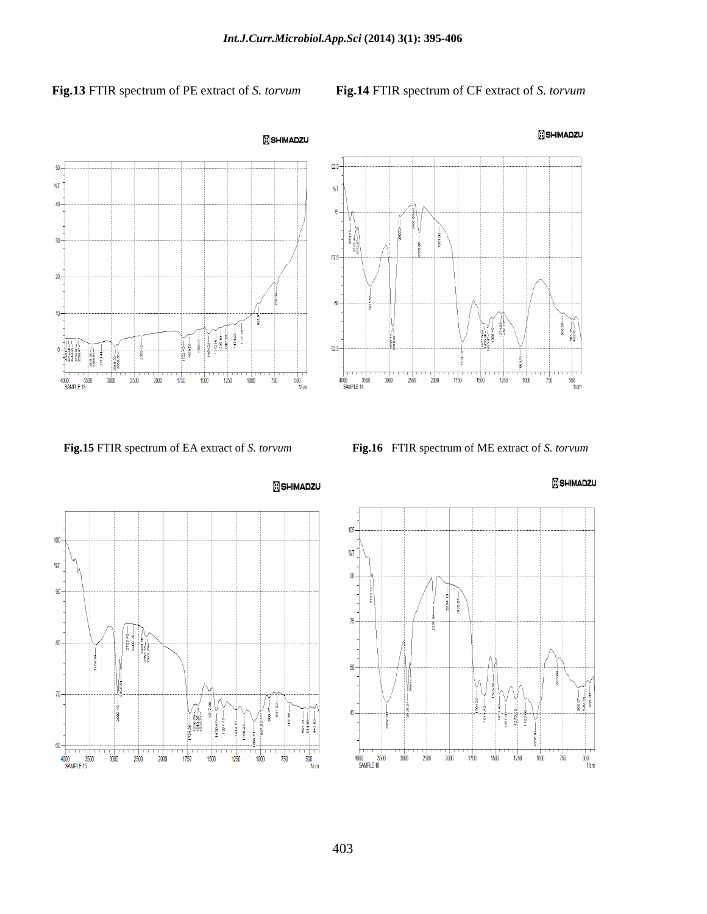## **Fig.13** FTIR spectrum of PE extract of *S. torvum* **Fig.14** FTIR spectrum of CF extract of *S. torvum*









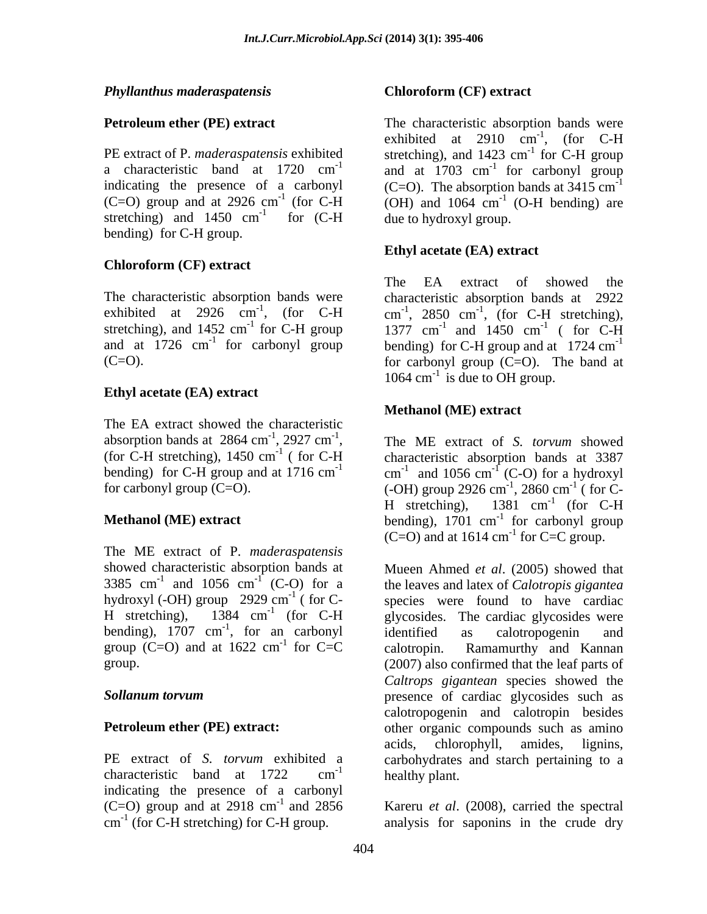## *Phyllanthus maderaspatensis*

bending) for C-H group.

## **Chloroform (CF) extract**

## **Ethyl acetate (EA) extract**

The EA extract showed the characteristic absorption bands at 2864 cm<sup>-1</sup>, 2927 cm<sup>-1</sup>,<br>(for C-H stretching), 1450 cm<sup>-1</sup> (for C-H

The ME extract of P. *maderaspatensis* showed characteristic absorption bands at Mueen Ahmed *et al*. (2005) showed that 3385 cm<sup>-1</sup> and 1056 cm<sup>-1</sup> (C-O) for a the leaves and latex of *Calotropis gigantea* 3385 cm<sup>-1</sup> and 1056 cm<sup>-1</sup> (C-O) for a hydroxyl (-OH) group 2929 cm<sup>-1</sup> ( for C- species were found to have cardiac H stretching),  $1384 \text{ cm}^{-1}$  (for C-H glycosides. The cardiac glycosides were bending),  $1707 \text{ cm}^{-1}$ , for an carbonyl identified as calotropogenin and group (C=O) and at  $1622 \text{ cm}^{-1}$  for C=C calotropin. Ramamurthy and Kannan

indicating the presence of a carbonyl  $(C=O)$  group and at 2918 cm<sup>-1</sup> and 2856 Kareru *et al.* (2008), carried the spectral  $cm^{-1}$  (for C-H stretching) for C-H group.

## **Chloroform (CF) extract**

**Petroleum ether (PE) extract** The characteristic absorption bands were PE extract of P. *maderaspatensis* exhibited stretching), and 1423 cm<sup>-1</sup> for C-H group a characteristic band at 1720  $cm^{-1}$  and at 1703  $cm^{-1}$  for carbonyl group indicating the presence of a carbonyl  $(C=O)$ . The absorption bands at  $3415 \text{ cm}^{-1}$  $(C=O)$  group and at 2926 cm<sup>-1</sup> (for C-H  $(OH)$  and 1064 cm<sup>-1</sup> (O-H bending) are stretching) and 1450 cm<sup>-1</sup> for  $(C-H)$  due to hydroxyl group.  $-1$  for  $(C \amalg$  decided to decode one of for (C-H due to hydroxyl group. exhibited at 2910  $cm^{-1}$ , (for C-H  $^{-1}$  (for  $C \amalg$  $^{-1}$  for C H group for C-H group -1 for carbonyl group  $^{-1}$  (O H bonding) are (O-H bending) are

## **Ethyl acetate (EA) extract**

The characteristic absorption bands were characteristic absorption bands at 2922 exhibited at 2926 cm<sup>-1</sup>, (for C-H cm<sup>-1</sup>, 2850 cm<sup>-1</sup>, (for C-H stretching), stretching), and 1452 cm<sup>-1</sup> for C-H group 1377 cm<sup>-1</sup> and 1450 cm<sup>-1</sup> (for C-H and at  $1726$  cm<sup>-1</sup> for carbonyl group bending) for C-H group and at  $1724$  cm<sup>-1</sup>  $(C=O)$ . The band at for carbonyl group  $(C=O)$ . The band at The EA extract of showed the , (for C-H stretching), and  $1450 \text{ cm}^{-1}$  (for C-H  $-1$  (for  $\overline{C}$  **U** ( for C-H 1064  $\text{cm}^{-1}$  is due to OH group.

## **Methanol (ME) extract**

 $^{-1}$ , 2927 cm<sup>-1</sup>, The ME extract of S. *torvum* showed absorption bands at 2864 cm<sup>-1</sup>, 2927 cm<sup>-1</sup>, The ME extract of *S. torvum* showed<br>(for C-H stretching), 1450 cm<sup>-1</sup> (for C-H characteristic absorption bands at 3387 <sup>-1</sup> (for C-H characteristic absorption bands at 3387 bending) for C-H group and at 1716 cm<sup>-1</sup> cm<sup>-1</sup> and 1056 cm<sup>-1</sup> (C-O) for a hydroxyl for carbonyl group  $(C=O)$ . (-OH) group 2926 cm<sup>-1</sup>, 2860 cm<sup>-1</sup> ( for C-**Methanol (ME) extract** bending), 1701 cm<sup>-1</sup> for carbonyl group The ME extract of *S. torvum* showed and  $1056 \text{ cm}^{-1}$  (C-O) for a hydroxyl (C-O) for a hydroxyl ,  $2860 \text{ cm}^{-1}$  ( for C- $-1$  (for  $\Gamma$ ( for C- H stretching),  $1381 \text{ cm}^{-1}$  (for C-H  $^{-1}$  (for  $C \amalg$ (for C-H for carbonyl group  $(C=O)$  and at 1614 cm<sup>-1</sup> for  $C=C$  group.

, for an carbonyl  $-1$  for  $C-C$  existence Representational Kansas for C=C calotropin. Ramamurthy and Kannan group. (2007) also confirmed that the leaf parts of *Sollanum torvum* presence of cardiac glycosides such as **Petroleum ether (PE) extract:** other organic compounds such as amino PE extract of *S. torvum* exhibited a carbohydrates and starch pertaining to a characteristic band at  $1722$  cm<sup>-1</sup> healthy plant.  $\frac{1}{\sqrt{2}}$  healthy plant identified as calotropogenin and calotropin. Ramamurthy and Kannan *Caltrops gigantean* species showed the calotropogenin and calotropin besides acids, chlorophyll, amides, lignins, healthy plant.

cm (for C-H stretching) for C-H group. analysis for saponins in the crude dry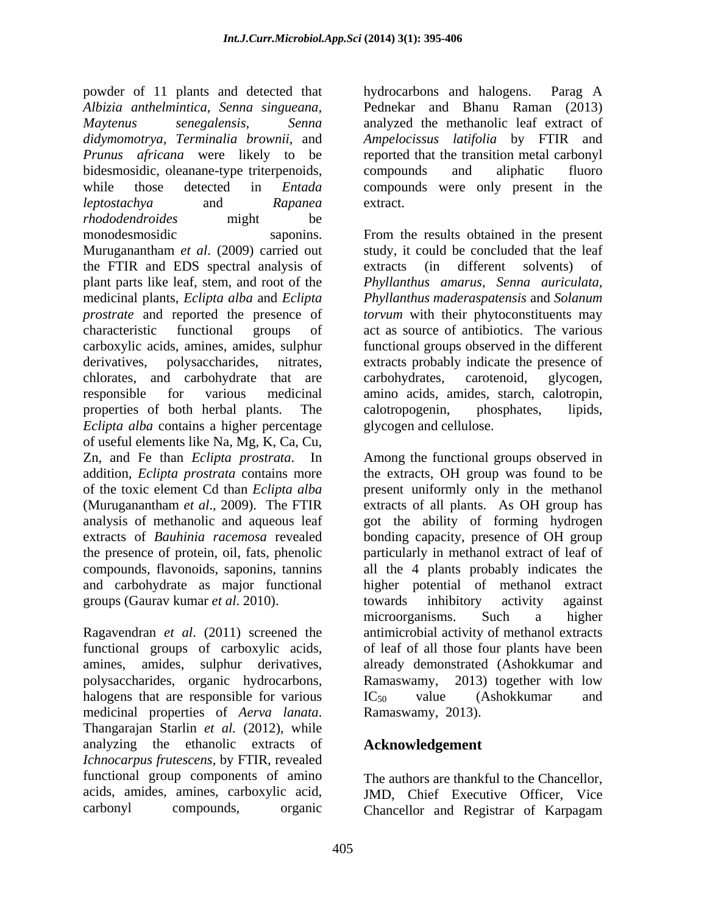powder of 11 plants and detected that hydrocarbons and halogens. Parag A *Albizia anthelmintica, Senna singueana, Maytenus senegalensis, Senna* analyzed the methanolic leaf extract of *didymomotrya, Terminalia brownii*, and *Ampelocissus latifolia* by FTIR and *Prunus africana* were likely to be reported that the transition metal carbonyl bidesmosidic, oleanane-type triterpenoids, compounds and aliphatic fluoro while those detected in *Entada*  compounds were only present in the *leptostachya* and *Rapanea rhododendroides* might be monodesmosidic saponins. From the results obtained in the present Muruganantham *et al*. (2009) carried out the FTIR and EDS spectral analysis of plant parts like leaf, stem, and root of the *Phyllanthus amarus, Senna auriculata,* medicinal plants, *Eclipta alba* and *Eclipta Phyllanthus maderaspatensis* and *Solanum prostrate* and reported the presence of *torvum* with their phytoconstituents may characteristic functional groups of act as source of antibiotics. The various carboxylic acids, amines, amides, sulphur functional groups observed in the different derivatives, polysaccharides, nitrates, extracts probably indicate the presence of chlorates, and carbohydrate that are carbohydrates, carotenoid, glycogen, responsible for various medicinal properties of both herbal plants. The calotropogenin, phosphates, lipids, *Eclipta alba* contains a higher percentage glycogen and cellulose. of useful elements like Na, Mg, K, Ca, Cu, Zn, and Fe than *Eclipta prostrata*. In addition, *Eclipta prostrata* contains more of the toxic element Cd than *Eclipta alba* present uniformly only in the methanol (Muruganantham *et al*., 2009). The FTIR extracts of all plants. As OH group has analysis of methanolic and aqueous leaf got the ability of forming hydrogen extracts of *Bauhinia racemosa* revealed bonding capacity, presence of OH group the presence of protein, oil, fats, phenolic particularly in methanol extract of leaf of compounds, flavonoids, saponins, tannins all the 4 plants probably indicates the and carbohydrate as major functional higher potential of methanol extract groups (Gaurav kumar *et al*. 2010).

polysaccharides, organic hydrocarbons, halogens that are responsible for various  $IC_{50}$  value (Ashokkumar and medicinal properties of *Aerva lanata*. Thangarajan Starlin *et al.* (2012), while analyzing the ethanolic extracts of *Ichnocarpus frutescens*, by FTIR, revealed functional group components of amino The authors are thankful to the Chancellor, acids, amides, amines, carboxylic acid, JMD, Chief Executive Officer, Vice

hydrocarbons and halogens. Parag A Pednekar and Bhanu Raman (2013) compounds and aliphatic fluoro extract.

study, it could be concluded that the leaf extracts (in different solvents) of carbohydrates, carotenoid, glycogen, amino acids, amides, starch, calotropin,<br>calotropogenin, phosphates, lipids,

Ragavendran *et al*. (2011) screened the antimicrobial activity of methanol extracts functional groups of carboxylic acids, of leaf of all those four plants have been amines, amides, sulphur derivatives, already demonstrated (Ashokkumar and glycogen and cellulose. Among the functional groups observed in the extracts, OH group was found to be towards inhibitory activity against microorganisms. Such a higher Ramaswamy, 2013) together with low IC<sub>50</sub> value (Ashokkumar and Ramaswamy, 2013).

## **Acknowledgement**

carbonyl compounds, organic Chancellor and Registrar of Karpagam